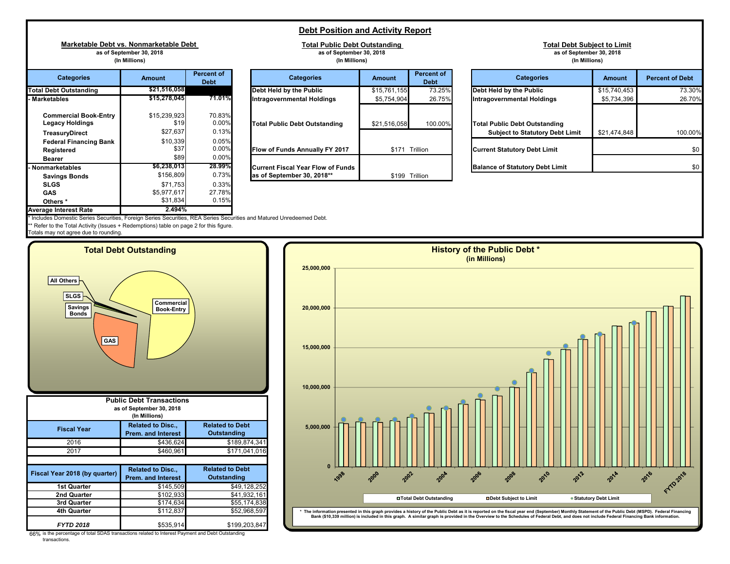## **Debt Position and Activity Report**

**Total Public Debt Outstanding as of September 30, 2018**

**Marketable Debt vs. Nonmarketable Debt as of September 30, 2018 (In Millions)**

| <b>Categories</b>                                      | <b>Amount</b>        | Percent of<br><b>Debt</b> | <b>Categories</b>                        | <b>Amount</b> | Perc<br>D |
|--------------------------------------------------------|----------------------|---------------------------|------------------------------------------|---------------|-----------|
| <b>Total Debt Outstanding</b>                          | \$21,516,058         |                           | Debt Held by the Public                  | \$15,761,155  |           |
| - Marketables                                          | \$15,278,045         | 71.01%                    | Intragovernmental Holdings               | \$5,754,904   |           |
| <b>Commercial Book-Entry</b><br><b>Legacy Holdings</b> | \$15,239,923<br>\$19 | 70.83%<br>$0.00\%$        | <b>Total Public Debt Outstanding</b>     | \$21,516,058  |           |
| <b>TreasuryDirect</b>                                  | \$27,637             | 0.13%                     |                                          |               |           |
| <b>Federal Financing Bank</b>                          | \$10,339             | 0.05%                     |                                          |               |           |
| Registered                                             | \$37                 | $0.00\%$                  | Flow of Funds Annually FY 2017           | \$171         | Trillion  |
| <b>Bearer</b>                                          | \$89                 | $0.00\%$                  |                                          |               |           |
| <b>Nonmarketables</b>                                  | \$6,238,013          | 28.99%                    | <b>Current Fiscal Year Flow of Funds</b> |               |           |
| <b>Savings Bonds</b>                                   | \$156.809            | 0.73%                     | as of September 30, 2018**               | \$199         | Trillion  |
| <b>SLGS</b>                                            | \$71,753             | 0.33%                     |                                          |               |           |
| <b>GAS</b>                                             | \$5,977,617          | 27.78%                    |                                          |               |           |
| Others <sup>*</sup>                                    | \$31,834             | 0.15%                     |                                          |               |           |
| <b>Average Interest Rate</b>                           | 2.494%               |                           |                                          |               |           |

|                                                            | (In Millions)                    |                                | (In Millions)                     |               |                                  |                                                                          |
|------------------------------------------------------------|----------------------------------|--------------------------------|-----------------------------------|---------------|----------------------------------|--------------------------------------------------------------------------|
| <b>Categories</b>                                          | <b>Amount</b>                    | Percent of<br>Debt             | <b>Categories</b>                 | <b>Amount</b> | <b>Percent of</b><br><b>Debt</b> | <b>Categories</b>                                                        |
| <b>Debt Outstanding</b>                                    | \$21,516,058                     |                                | Debt Held by the Public           | \$15,761,155  | 73.25%                           | Debt Held by the Public                                                  |
| ketables                                                   | \$15,278,0451                    | 71.01%                         | Intragovernmental Holdings        | \$5,754,904   | 26.75%                           | Intragovernmental Holdings                                               |
| Commercial Book-Entry<br>Legacy Holdings<br>TreasuryDirect | \$15,239,923<br>\$19<br>\$27,637 | 70.83%<br>$0.00\%$<br>$0.13\%$ | Total Public Debt Outstanding     | \$21,516,058  | 100.00%                          | <b>Total Public Debt Outstanding</b><br><b>Subject to Statutory Debt</b> |
| Federal Financing Bank<br>Registered<br>Bearer             | \$10,339<br>\$37<br>\$89         | 0.05%<br>$0.00\%$<br>$0.00\%$  | Flow of Funds Annually FY 2017    | \$171         | Trillion                         | <b>Current Statutory Debt Limit</b>                                      |
| marketables                                                | \$6.238.0131                     | 28.99%                         | Current Fiscal Year Flow of Funds |               |                                  | <b>Balance of Statutory Debt Lim</b>                                     |
| Savings Bonds                                              | \$156,809                        | $0.73\%$                       | as of September 30, 2018**        | \$199         | Trillion                         |                                                                          |
|                                                            |                                  |                                |                                   |               |                                  |                                                                          |

|                                                                   | as of September 30, 2018<br>(In Millions) |                                  | as of September 30, 2018<br>(In Millions)                                                            |                |                                  | as of September 30, 2018<br>(In Millions)                                      |               |                        |  |  |
|-------------------------------------------------------------------|-------------------------------------------|----------------------------------|------------------------------------------------------------------------------------------------------|----------------|----------------------------------|--------------------------------------------------------------------------------|---------------|------------------------|--|--|
| <b>Categories</b>                                                 | <b>Amount</b>                             | <b>Percent of</b><br><b>Debt</b> | <b>Categories</b>                                                                                    | <b>Amount</b>  | <b>Percent of</b><br><b>Debt</b> | <b>Categories</b>                                                              | <b>Amount</b> | <b>Percent of Debt</b> |  |  |
| <b>Debt Outstanding</b>                                           | \$21,516,058                              |                                  | Debt Held by the Public                                                                              | \$15,761,155   | 73.25%                           | Debt Held by the Public                                                        | \$15,740,453  | 73.30%                 |  |  |
| ketables                                                          | \$15,278,045                              | 71.01%                           | <b>Intragovernmental Holdings</b>                                                                    | \$5,754,904    | 26.75%                           | Intragovernmental Holdings                                                     | \$5,734,396   | 26.70%                 |  |  |
| <b>Commercial Book-Entry</b><br>Legacy Holdings<br>TreasuryDirect | \$15,239,923<br>\$19<br>\$27,637          | 70.83%<br>0.00%<br>0.13%         | Total Public Debt Outstanding                                                                        | \$21,516,058   | 100.00%                          | <b>Total Public Debt Outstanding</b><br><b>Subject to Statutory Debt Limit</b> | \$21,474,848  | 100.00%                |  |  |
| <b>Federal Financing Bank</b><br>Registered<br>Bearer             | \$10,339<br>\$37<br>\$89                  | 0.05%<br>0.00%<br>0.00%          | Flow of Funds Annually FY 2017                                                                       | \$171 Trillion |                                  | <b>Current Statutory Debt Limit</b>                                            |               |                        |  |  |
| marketables                                                       | \$6,238,013                               | 28.99%                           | Current Fiscal Year Flow of Funds                                                                    |                |                                  | <b>Balance of Statutory Debt Limit</b>                                         |               | \$0                    |  |  |
| .                                                                 | $0.450$ 000                               | 0.729/                           | -- - - - 0 - - - - - - - - - 0 0 - 0 0 - 0 - 0 - 0 - 0 - 0 - 0 - 0 - 0 - 0 - 0 - 0 - 0 - 0 - 0 - 0 - |                | $0.100 + T \cdot 10$             |                                                                                |               |                        |  |  |

**Total Debt Subject to Limit**

Includes Domestic Series Securities, Foreign Series Securities, REA Series Securities and Matured Unredeemed Debt.

\* Refer to the Total Activity (Issues + Redemptions) table on page 2 for this figure.

Totals may not agree due to rounding.